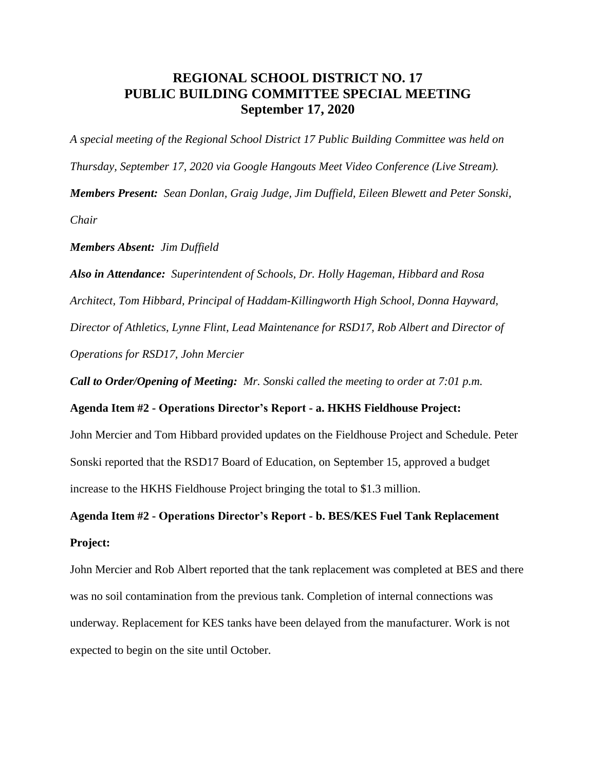# **REGIONAL SCHOOL DISTRICT NO. 17 PUBLIC BUILDING COMMITTEE SPECIAL MEETING September 17, 2020**

*A special meeting of the Regional School District 17 Public Building Committee was held on Thursday, September 17, 2020 via Google Hangouts Meet Video Conference (Live Stream). Members Present: Sean Donlan, Graig Judge, Jim Duffield, Eileen Blewett and Peter Sonski, Chair*

#### *Members Absent: Jim Duffield*

*Also in Attendance: Superintendent of Schools, Dr. Holly Hageman, Hibbard and Rosa Architect, Tom Hibbard, Principal of Haddam-Killingworth High School, Donna Hayward, Director of Athletics, Lynne Flint, Lead Maintenance for RSD17, Rob Albert and Director of Operations for RSD17, John Mercier*

*Call to Order/Opening of Meeting: Mr. Sonski called the meeting to order at 7:01 p.m.*

### **Agenda Item #2 - Operations Director's Report - a. HKHS Fieldhouse Project:**

John Mercier and Tom Hibbard provided updates on the Fieldhouse Project and Schedule. Peter Sonski reported that the RSD17 Board of Education, on September 15, approved a budget increase to the HKHS Fieldhouse Project bringing the total to \$1.3 million.

# **Agenda Item #2 - Operations Director's Report - b. BES/KES Fuel Tank Replacement Project:**

John Mercier and Rob Albert reported that the tank replacement was completed at BES and there was no soil contamination from the previous tank. Completion of internal connections was underway. Replacement for KES tanks have been delayed from the manufacturer. Work is not expected to begin on the site until October.